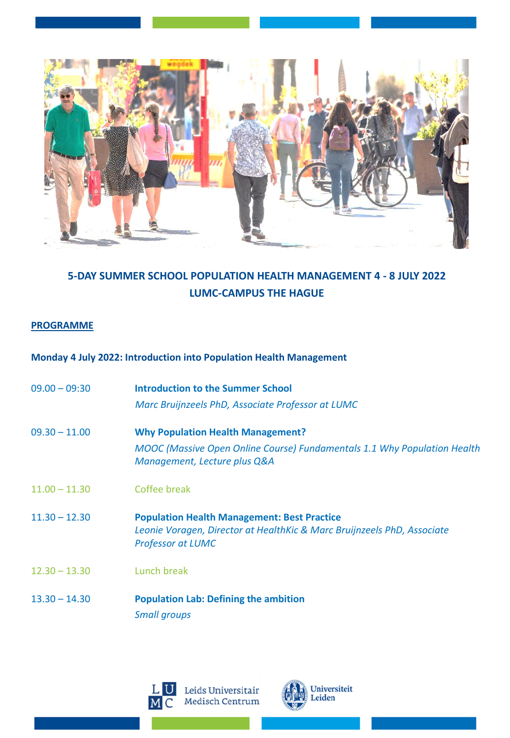

# **5-DAY SUMMER SCHOOL POPULATION HEALTH MANAGEMENT 4 - 8 JULY 2022 LUMC-CAMPUS THE HAGUE**

#### **PROGRAMME**

### **Monday 4 July 2022: Introduction into Population Health Management**

| $09.00 - 09:30$ | Introduction to the Summer School<br>Marc Bruijnzeels PhD, Associate Professor at LUMC                                                                      |
|-----------------|-------------------------------------------------------------------------------------------------------------------------------------------------------------|
| $09.30 - 11.00$ | <b>Why Population Health Management?</b><br><b>MOOC</b> (Massive Open Online Course) Fundamentals 1.1 Why Population Health<br>Management, Lecture plus Q&A |
| $11.00 - 11.30$ | Coffee break                                                                                                                                                |
| $11.30 - 12.30$ | <b>Population Health Management: Best Practice</b><br>Leonie Voragen, Director at HealthKic & Marc Bruijnzeels PhD, Associate<br><b>Professor at LUMC</b>   |
| $12.30 - 13.30$ | Lunch break                                                                                                                                                 |
| $13.30 - 14.30$ | <b>Population Lab: Defining the ambition</b><br><b>Small groups</b>                                                                                         |



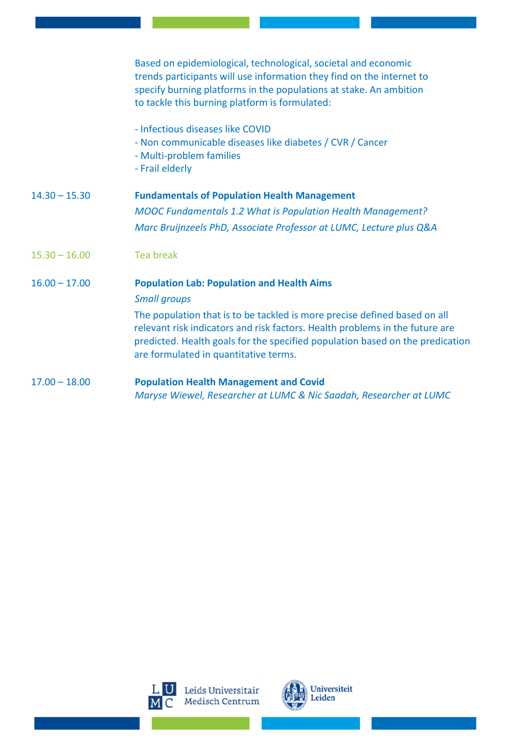|                 | Based on epidemiological, technological, societal and economic<br>trends participants will use information they find on the internet to<br>specify burning platforms in the populations at stake. An ambition<br>to tackle this burning platform is formulated:                                                                                                 |
|-----------------|-----------------------------------------------------------------------------------------------------------------------------------------------------------------------------------------------------------------------------------------------------------------------------------------------------------------------------------------------------------------|
|                 | - Infectious diseases like COVID<br>- Non communicable diseases like diabetes / CVR / Cancer<br>- Multi-problem families<br>- Frail elderly                                                                                                                                                                                                                     |
| $14.30 - 15.30$ | <b>Fundamentals of Population Health Management</b><br><b>MOOC Fundamentals 1.2 What is Population Health Management?</b><br>Marc Bruijnzeels PhD, Associate Professor at LUMC, Lecture plus Q&A                                                                                                                                                                |
| $15.30 - 16.00$ | <b>Tea break</b>                                                                                                                                                                                                                                                                                                                                                |
| $16.00 - 17.00$ | <b>Population Lab: Population and Health Aims</b><br><b>Small groups</b><br>The population that is to be tackled is more precise defined based on all<br>relevant risk indicators and risk factors. Health problems in the future are<br>predicted. Health goals for the specified population based on the predication<br>are formulated in quantitative terms. |
| $17.00 - 18.00$ | <b>Population Health Management and Covid</b><br>Maryse Wiewel, Researcher at LUMC & Nic Saadah, Researcher at LUMC                                                                                                                                                                                                                                             |



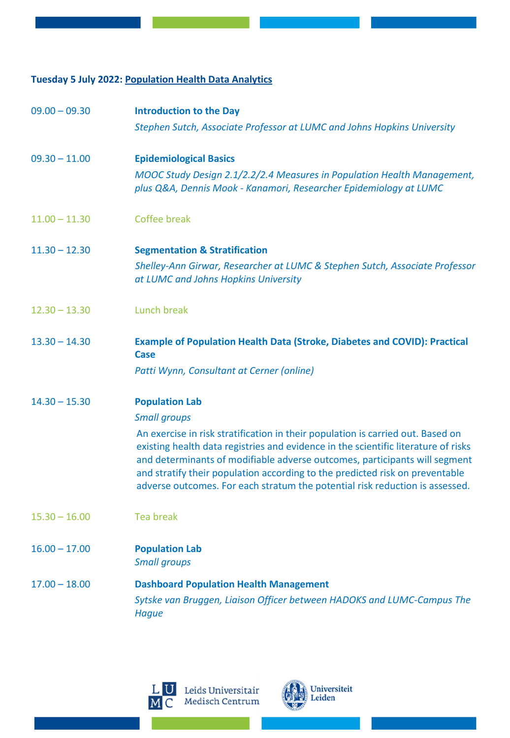## **Tuesday 5 July 2022: Population Health Data Analytics**

| $09.00 - 09.30$ | <b>Introduction to the Day</b>                                                                                                                                                                                                                                                                                                                                                                                      |
|-----------------|---------------------------------------------------------------------------------------------------------------------------------------------------------------------------------------------------------------------------------------------------------------------------------------------------------------------------------------------------------------------------------------------------------------------|
|                 | Stephen Sutch, Associate Professor at LUMC and Johns Hopkins University                                                                                                                                                                                                                                                                                                                                             |
| $09.30 - 11.00$ | <b>Epidemiological Basics</b>                                                                                                                                                                                                                                                                                                                                                                                       |
|                 | MOOC Study Design 2.1/2.2/2.4 Measures in Population Health Management,<br>plus Q&A, Dennis Mook - Kanamori, Researcher Epidemiology at LUMC                                                                                                                                                                                                                                                                        |
| $11.00 - 11.30$ | Coffee break                                                                                                                                                                                                                                                                                                                                                                                                        |
| $11.30 - 12.30$ | <b>Segmentation &amp; Stratification</b>                                                                                                                                                                                                                                                                                                                                                                            |
|                 | Shelley-Ann Girwar, Researcher at LUMC & Stephen Sutch, Associate Professor<br>at LUMC and Johns Hopkins University                                                                                                                                                                                                                                                                                                 |
| $12.30 - 13.30$ | Lunch break                                                                                                                                                                                                                                                                                                                                                                                                         |
| $13.30 - 14.30$ | <b>Example of Population Health Data (Stroke, Diabetes and COVID): Practical</b><br>Case                                                                                                                                                                                                                                                                                                                            |
|                 | Patti Wynn, Consultant at Cerner (online)                                                                                                                                                                                                                                                                                                                                                                           |
| $14.30 - 15.30$ | <b>Population Lab</b>                                                                                                                                                                                                                                                                                                                                                                                               |
|                 | <b>Small groups</b>                                                                                                                                                                                                                                                                                                                                                                                                 |
|                 | An exercise in risk stratification in their population is carried out. Based on<br>existing health data registries and evidence in the scientific literature of risks<br>and determinants of modifiable adverse outcomes, participants will segment<br>and stratify their population according to the predicted risk on preventable<br>adverse outcomes. For each stratum the potential risk reduction is assessed. |
| $15.30 - 16.00$ | <b>Tea break</b>                                                                                                                                                                                                                                                                                                                                                                                                    |
| $16.00 - 17.00$ | <b>Population Lab</b><br><b>Small groups</b>                                                                                                                                                                                                                                                                                                                                                                        |
| $17.00 - 18.00$ | <b>Dashboard Population Health Management</b>                                                                                                                                                                                                                                                                                                                                                                       |
|                 | Sytske van Bruggen, Liaison Officer between HADOKS and LUMC-Campus The<br><b>Hague</b>                                                                                                                                                                                                                                                                                                                              |



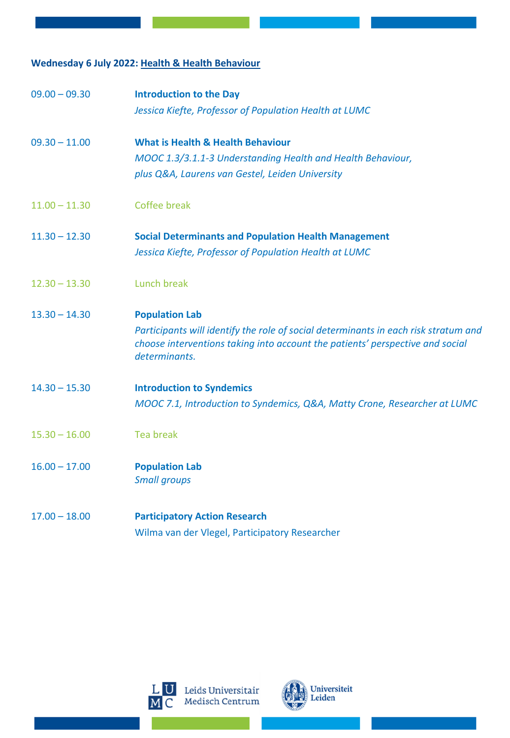### **Wednesday 6 July 2022: Health & Health Behaviour**

| $09.00 - 09.30$ | <b>Introduction to the Day</b><br>Jessica Kiefte, Professor of Population Health at LUMC                                                                                              |
|-----------------|---------------------------------------------------------------------------------------------------------------------------------------------------------------------------------------|
| $09.30 - 11.00$ | <b>What is Health &amp; Health Behaviour</b>                                                                                                                                          |
|                 | MOOC 1.3/3.1.1-3 Understanding Health and Health Behaviour,                                                                                                                           |
|                 | plus Q&A, Laurens van Gestel, Leiden University                                                                                                                                       |
| $11.00 - 11.30$ | Coffee break                                                                                                                                                                          |
| $11.30 - 12.30$ | <b>Social Determinants and Population Health Management</b>                                                                                                                           |
|                 | Jessica Kiefte, Professor of Population Health at LUMC                                                                                                                                |
| $12.30 - 13.30$ | Lunch break                                                                                                                                                                           |
| $13.30 - 14.30$ | <b>Population Lab</b>                                                                                                                                                                 |
|                 | Participants will identify the role of social determinants in each risk stratum and<br>choose interventions taking into account the patients' perspective and social<br>determinants. |
| $14.30 - 15.30$ | <b>Introduction to Syndemics</b>                                                                                                                                                      |
|                 | MOOC 7.1, Introduction to Syndemics, Q&A, Matty Crone, Researcher at LUMC                                                                                                             |
| $15.30 - 16.00$ | <b>Tea break</b>                                                                                                                                                                      |
| $16.00 - 17.00$ | <b>Population Lab</b><br><b>Small groups</b>                                                                                                                                          |
| $17.00 - 18.00$ | <b>Participatory Action Research</b>                                                                                                                                                  |
|                 | Wilma van der Vlegel, Participatory Researcher                                                                                                                                        |



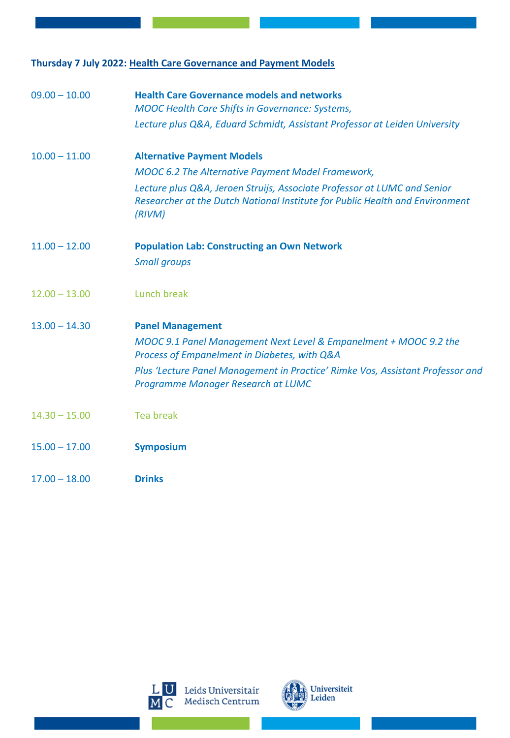### **Thursday 7 July 2022: Health Care Governance and Payment Models**

| $09.00 - 10.00$ | <b>Health Care Governance models and networks</b><br><b>MOOC Health Care Shifts in Governance: Systems,</b>                                                        |
|-----------------|--------------------------------------------------------------------------------------------------------------------------------------------------------------------|
|                 | Lecture plus Q&A, Eduard Schmidt, Assistant Professor at Leiden University                                                                                         |
| $10.00 - 11.00$ | <b>Alternative Payment Models</b>                                                                                                                                  |
|                 | <b>MOOC 6.2 The Alternative Payment Model Framework,</b>                                                                                                           |
|                 | Lecture plus Q&A, Jeroen Struijs, Associate Professor at LUMC and Senior<br>Researcher at the Dutch National Institute for Public Health and Environment<br>(RIVM) |
| $11.00 - 12.00$ | <b>Population Lab: Constructing an Own Network</b>                                                                                                                 |
|                 | <b>Small groups</b>                                                                                                                                                |
| $12.00 - 13.00$ | Lunch break                                                                                                                                                        |
| $13.00 - 14.30$ | <b>Panel Management</b>                                                                                                                                            |
|                 | MOOC 9.1 Panel Management Next Level & Empanelment + MOOC 9.2 the<br>Process of Empanelment in Diabetes, with Q&A                                                  |
|                 | Plus 'Lecture Panel Management in Practice' Rimke Vos, Assistant Professor and<br>Programme Manager Research at LUMC                                               |
| $14.30 - 15.00$ | <b>Tea break</b>                                                                                                                                                   |
| $15.00 - 17.00$ | <b>Symposium</b>                                                                                                                                                   |
| $17.00 - 18.00$ | <b>Drinks</b>                                                                                                                                                      |
|                 |                                                                                                                                                                    |